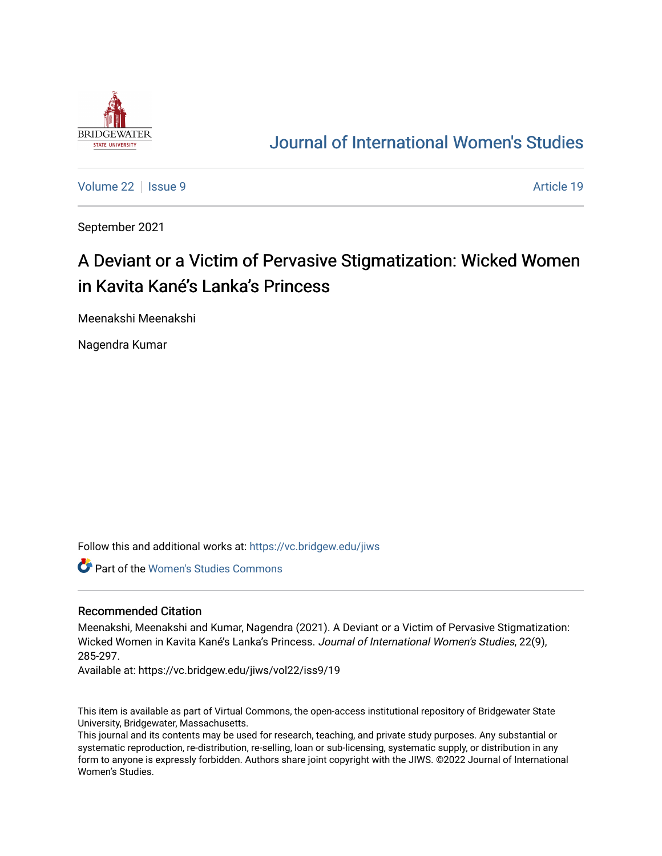

# [Journal of International Women's Studies](https://vc.bridgew.edu/jiws)

[Volume 22](https://vc.bridgew.edu/jiws/vol22) | [Issue 9](https://vc.bridgew.edu/jiws/vol22/iss9) Article 19

September 2021

# A Deviant or a Victim of Pervasive Stigmatization: Wicked Women in Kavita Kané's Lanka's Princess

Meenakshi Meenakshi

Nagendra Kumar

Follow this and additional works at: [https://vc.bridgew.edu/jiws](https://vc.bridgew.edu/jiws?utm_source=vc.bridgew.edu%2Fjiws%2Fvol22%2Fiss9%2F19&utm_medium=PDF&utm_campaign=PDFCoverPages)

Part of the [Women's Studies Commons](http://network.bepress.com/hgg/discipline/561?utm_source=vc.bridgew.edu%2Fjiws%2Fvol22%2Fiss9%2F19&utm_medium=PDF&utm_campaign=PDFCoverPages) 

#### Recommended Citation

Meenakshi, Meenakshi and Kumar, Nagendra (2021). A Deviant or a Victim of Pervasive Stigmatization: Wicked Women in Kavita Kané's Lanka's Princess. Journal of International Women's Studies, 22(9), 285-297.

Available at: https://vc.bridgew.edu/jiws/vol22/iss9/19

This item is available as part of Virtual Commons, the open-access institutional repository of Bridgewater State University, Bridgewater, Massachusetts.

This journal and its contents may be used for research, teaching, and private study purposes. Any substantial or systematic reproduction, re-distribution, re-selling, loan or sub-licensing, systematic supply, or distribution in any form to anyone is expressly forbidden. Authors share joint copyright with the JIWS. ©2022 Journal of International Women's Studies.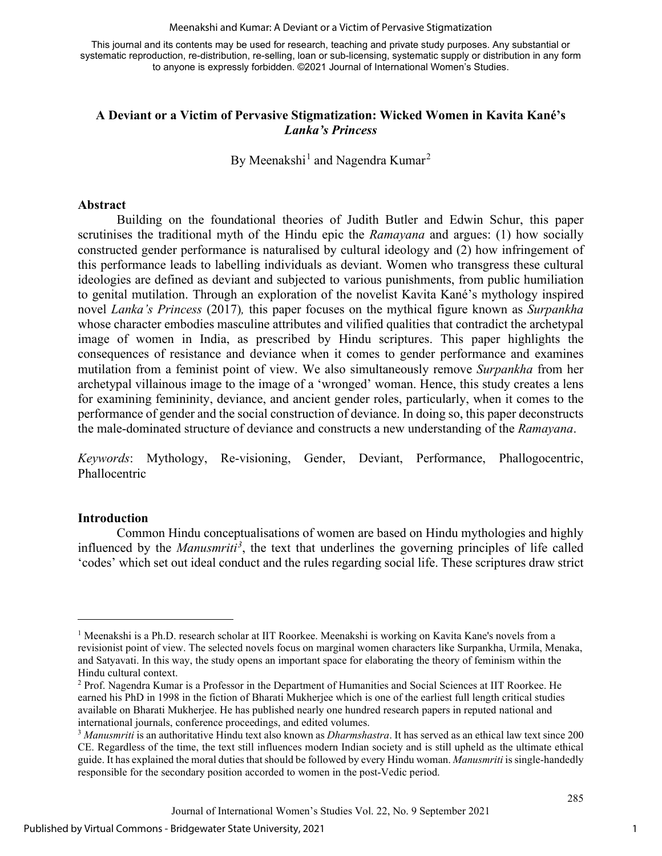#### Meenakshi and Kumar: A Deviant or a Victim of Pervasive Stigmatization

This journal and its contents may be used for research, teaching and private study purposes. Any substantial or systematic reproduction, re-distribution, re-selling, loan or sub-licensing, systematic supply or distribution in any form to anyone is expressly forbidden. ©2021 Journal of International Women's Studies.

## **A Deviant or a Victim of Pervasive Stigmatization: Wicked Women in Kavita Kané's**  *Lanka's Princess*

By Meenakshi<sup>[1](#page-1-0)</sup> and Nagendra Kumar<sup>[2](#page-1-1)</sup>

#### **Abstract**

Building on the foundational theories of Judith Butler and Edwin Schur, this paper scrutinises the traditional myth of the Hindu epic the *Ramayana* and argues: (1) how socially constructed gender performance is naturalised by cultural ideology and (2) how infringement of this performance leads to labelling individuals as deviant. Women who transgress these cultural ideologies are defined as deviant and subjected to various punishments, from public humiliation to genital mutilation. Through an exploration of the novelist Kavita Kané's mythology inspired novel *Lanka's Princess* (2017)*,* this paper focuses on the mythical figure known as *Surpankha* whose character embodies masculine attributes and vilified qualities that contradict the archetypal image of women in India, as prescribed by Hindu scriptures. This paper highlights the consequences of resistance and deviance when it comes to gender performance and examines mutilation from a feminist point of view. We also simultaneously remove *Surpankha* from her archetypal villainous image to the image of a 'wronged' woman. Hence, this study creates a lens for examining femininity, deviance, and ancient gender roles, particularly, when it comes to the performance of gender and the social construction of deviance. In doing so, this paper deconstructs the male-dominated structure of deviance and constructs a new understanding of the *Ramayana*.

*Keywords*: Mythology, Re-visioning, Gender, Deviant, Performance, Phallogocentric, Phallocentric

### **Introduction**

Common Hindu conceptualisations of women are based on Hindu mythologies and highly influenced by the *Manusmriti[3](#page-1-2)* , the text that underlines the governing principles of life called 'codes' which set out ideal conduct and the rules regarding social life. These scriptures draw strict

<span id="page-1-0"></span><sup>&</sup>lt;sup>1</sup> Meenakshi is a Ph.D. research scholar at IIT Roorkee. Meenakshi is working on Kavita Kane's novels from a revisionist point of view. The selected novels focus on marginal women characters like Surpankha, Urmila, Menaka, and Satyavati. In this way, the study opens an important space for elaborating the theory of feminism within the Hindu cultural context.

<span id="page-1-1"></span><sup>2</sup> Prof. Nagendra Kumar is a Professor in the Department of Humanities and Social Sciences at IIT Roorkee. He earned his PhD in 1998 in the fiction of Bharati Mukherjee which is one of the earliest full length critical studies available on Bharati Mukherjee. He has published nearly one hundred research papers in reputed national and international journals, conference proceedings, and edited volumes.

<span id="page-1-2"></span><sup>3</sup> *Manusmriti* is an authoritative Hindu text also known as *Dharmshastra*. It has served as an ethical law text since 200 CE. Regardless of the time, the text still influences modern Indian society and is still upheld as the ultimate ethical guide. It has explained the moral duties that should be followed by every Hindu woman. *Manusmriti* is single-handedly responsible for the secondary position accorded to women in the post-Vedic period.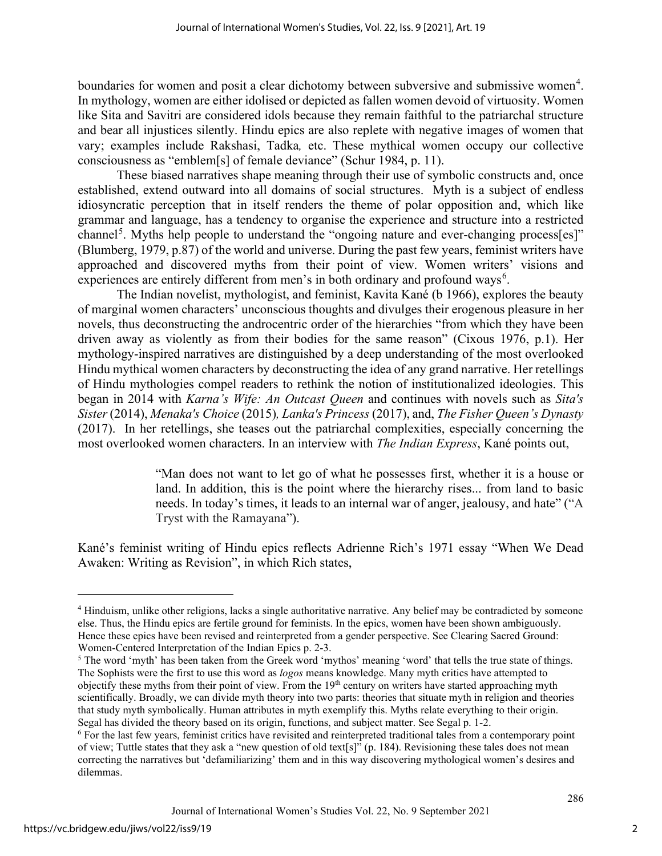boundaries for women and posit a clear dichotomy between subversive and submissive women<sup>[4](#page-2-0)</sup>. In mythology, women are either idolised or depicted as fallen women devoid of virtuosity. Women like Sita and Savitri are considered idols because they remain faithful to the patriarchal structure and bear all injustices silently. Hindu epics are also replete with negative images of women that vary; examples include Rakshasi, Tadka*,* etc. These mythical women occupy our collective consciousness as "emblem[s] of female deviance" (Schur 1984, p. 11).

These biased narratives shape meaning through their use of symbolic constructs and, once established, extend outward into all domains of social structures. Myth is a subject of endless idiosyncratic perception that in itself renders the theme of polar opposition and, which like grammar and language, has a tendency to organise the experience and structure into a restricted channel<sup>[5](#page-2-1)</sup>. Myths help people to understand the "ongoing nature and ever-changing process[es]" (Blumberg, 1979, p.87) of the world and universe. During the past few years, feminist writers have approached and discovered myths from their point of view. Women writers' visions and experiences are entirely different from men's in both ordinary and profound ways<sup>[6](#page-2-2)</sup>.

The Indian novelist, mythologist, and feminist, Kavita Kané (b 1966), explores the beauty of marginal women characters' unconscious thoughts and divulges their erogenous pleasure in her novels, thus deconstructing the androcentric order of the hierarchies "from which they have been driven away as violently as from their bodies for the same reason" (Cixous 1976, p.1). Her mythology-inspired narratives are distinguished by a deep understanding of the most overlooked Hindu mythical women characters by deconstructing the idea of any grand narrative. Her retellings of Hindu mythologies compel readers to rethink the notion of institutionalized ideologies. This began in 2014 with *Karna's Wife: An Outcast Queen* and continues with novels such as *Sita's Sister* (2014), *Menaka's Choice* (2015)*, Lanka's Princess* (2017), and, *The Fisher Queen's Dynasty* (2017). In her retellings, she teases out the patriarchal complexities, especially concerning the most overlooked women characters. In an interview with *The Indian Express*, Kané points out,

> "Man does not want to let go of what he possesses first, whether it is a house or land. In addition, this is the point where the hierarchy rises... from land to basic needs. In today's times, it leads to an internal war of anger, jealousy, and hate" ("A Tryst with the Ramayana").

Kané's feminist writing of Hindu epics reflects Adrienne Rich's 1971 essay "When We Dead Awaken: Writing as Revision", in which Rich states,

<span id="page-2-0"></span><sup>4</sup> Hinduism, unlike other religions, lacks a single authoritative narrative. Any belief may be contradicted by someone else. Thus, the Hindu epics are fertile ground for feminists. In the epics, women have been shown ambiguously. Hence these epics have been revised and reinterpreted from a gender perspective. See Clearing Sacred Ground: Women-Centered Interpretation of the Indian Epics p. 2-3.

<span id="page-2-1"></span><sup>&</sup>lt;sup>5</sup> The word 'myth' has been taken from the Greek word 'mythos' meaning 'word' that tells the true state of things. The Sophists were the first to use this word as *logos* means knowledge. Many myth critics have attempted to objectify these myths from their point of view. From the 19<sup>th</sup> century on writers have started approaching myth scientifically. Broadly, we can divide myth theory into two parts: theories that situate myth in religion and theories that study myth symbolically. Human attributes in myth exemplify this. Myths relate everything to their origin. Segal has divided the theory based on its origin, functions, and subject matter. See Segal p. 1-2.

<span id="page-2-2"></span><sup>6</sup> For the last few years, feminist critics have revisited and reinterpreted traditional tales from a contemporary point of view; Tuttle states that they ask a "new question of old text[s]" (p. 184). Revisioning these tales does not mean correcting the narratives but 'defamiliarizing' them and in this way discovering mythological women's desires and dilemmas.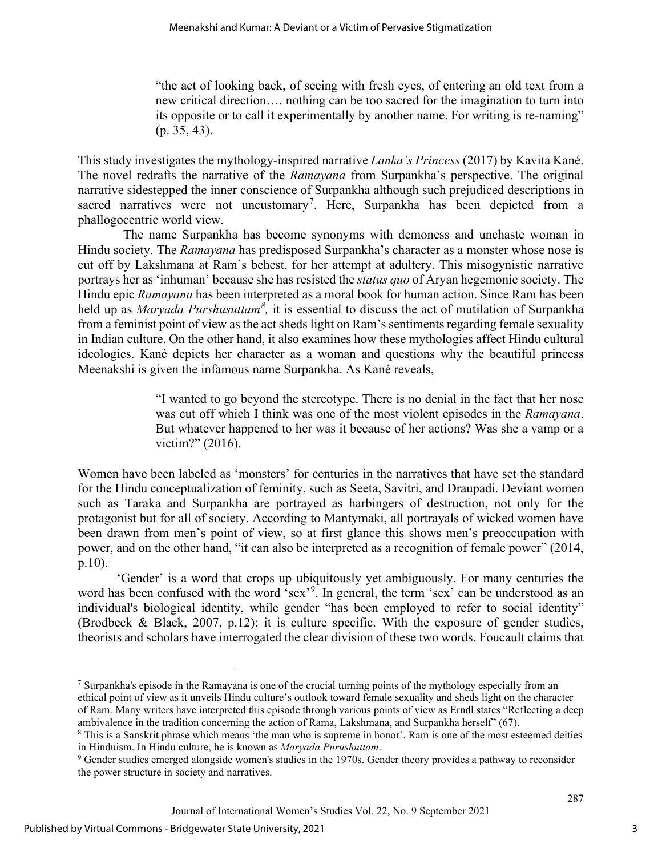"the act of looking back, of seeing with fresh eyes, of entering an old text from a new critical direction…. nothing can be too sacred for the imagination to turn into its opposite or to call it experimentally by another name. For writing is re-naming" (p. 35, 43).

This study investigates the mythology-inspired narrative *Lanka's Princess* (2017) by Kavita Kané. The novel redrafts the narrative of the *Ramayana* from Surpankha's perspective. The original narrative sidestepped the inner conscience of Surpankha although such prejudiced descriptions in sacred narratives were not uncustomary<sup>[7](#page-3-0)</sup>. Here, Surpankha has been depicted from a phallogocentric world view.

 The name Surpankha has become synonyms with demoness and unchaste woman in Hindu society. The *Ramayana* has predisposed Surpankha's character as a monster whose nose is cut off by Lakshmana at Ram's behest, for her attempt at adultery. This misogynistic narrative portrays her as 'inhuman' because she has resisted the *status quo* of Aryan hegemonic society. The Hindu epic *Ramayana* has been interpreted as a moral book for human action. Since Ram has been held up as *Maryada Purshusuttam[8](#page-3-1) ,* it is essential to discuss the act of mutilation of Surpankha from a feminist point of view as the act sheds light on Ram's sentiments regarding female sexuality in Indian culture. On the other hand, it also examines how these mythologies affect Hindu cultural ideologies. Kané depicts her character as a woman and questions why the beautiful princess Meenakshi is given the infamous name Surpankha. As Kané reveals,

> "I wanted to go beyond the stereotype. There is no denial in the fact that her nose was cut off which I think was one of the most violent episodes in the *Ramayana*. But whatever happened to her was it because of her actions? Was she a vamp or a victim?" (2016).

Women have been labeled as 'monsters' for centuries in the narratives that have set the standard for the Hindu conceptualization of feminity, such as Seeta, Savitri, and Draupadi. Deviant women such as Taraka and Surpankha are portrayed as harbingers of destruction, not only for the protagonist but for all of society. According to Mantymaki, all portrayals of wicked women have been drawn from men's point of view, so at first glance this shows men's preoccupation with power, and on the other hand, "it can also be interpreted as a recognition of female power" (2014, p.10).

'Gender' is a word that crops up ubiquitously yet ambiguously. For many centuries the word has been confused with the word 'sex'<sup>[9](#page-3-2)</sup>. In general, the term 'sex' can be understood as an individual's biological identity, while gender "has been employed to refer to social identity" (Brodbeck & Black, 2007, p.12); it is culture specific. With the exposure of gender studies, theorists and scholars have interrogated the clear division of these two words. Foucault claims that

<span id="page-3-0"></span><sup>7</sup> Surpankha's episode in the Ramayana is one of the crucial turning points of the mythology especially from an ethical point of view as it unveils Hindu culture's outlook toward female sexuality and sheds light on the character of Ram. Many writers have interpreted this episode through various points of view as Erndl states "Reflecting a deep ambivalence in the tradition concerning the action of Rama, Lakshmana, and Surpankha herself" (67).

<span id="page-3-1"></span><sup>8</sup> This is a Sanskrit phrase which means 'the man who is supreme in honor'. Ram is one of the most esteemed deities in Hinduism. In Hindu culture, he is known as *Maryada Purushuttam*.<br><sup>9</sup> Gender studies emerged alongside women's studies in the 1970s. Gender theory provides a pathway to reconsider

<span id="page-3-2"></span>the power structure in society and narratives.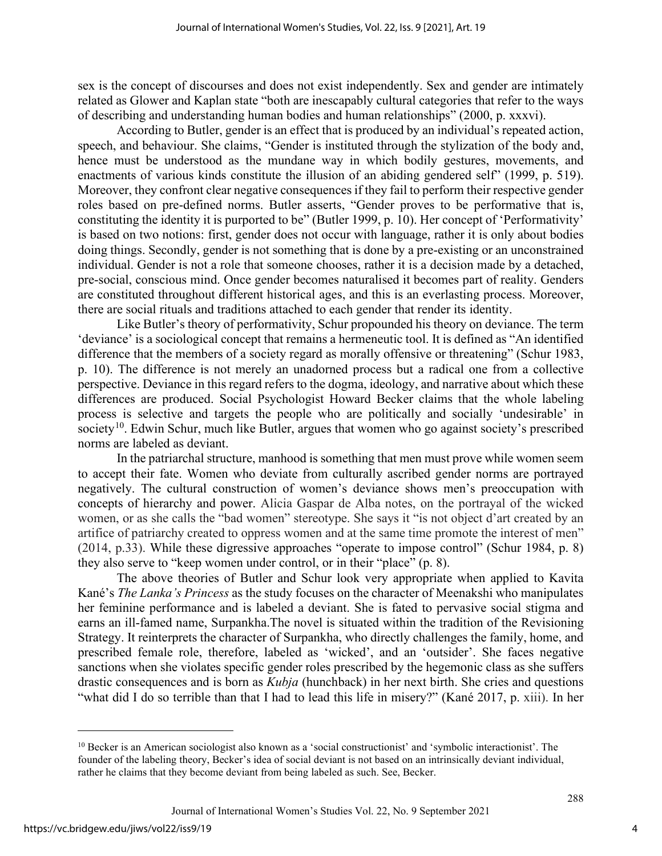sex is the concept of discourses and does not exist independently. Sex and gender are intimately related as Glower and Kaplan state "both are inescapably cultural categories that refer to the ways of describing and understanding human bodies and human relationships" (2000, p. xxxvi).

According to Butler, gender is an effect that is produced by an individual's repeated action, speech, and behaviour. She claims, "Gender is instituted through the stylization of the body and, hence must be understood as the mundane way in which bodily gestures, movements, and enactments of various kinds constitute the illusion of an abiding gendered self" (1999, p. 519). Moreover, they confront clear negative consequences if they fail to perform their respective gender roles based on pre-defined norms. Butler asserts, "Gender proves to be performative that is, constituting the identity it is purported to be" (Butler 1999, p. 10). Her concept of 'Performativity' is based on two notions: first, gender does not occur with language, rather it is only about bodies doing things. Secondly, gender is not something that is done by a pre-existing or an unconstrained individual. Gender is not a role that someone chooses, rather it is a decision made by a detached, pre-social, conscious mind. Once gender becomes naturalised it becomes part of reality. Genders are constituted throughout different historical ages, and this is an everlasting process. Moreover, there are social rituals and traditions attached to each gender that render its identity.

Like Butler's theory of performativity, Schur propounded his theory on deviance. The term 'deviance' is a sociological concept that remains a hermeneutic tool. It is defined as "An identified difference that the members of a society regard as morally offensive or threatening" (Schur 1983, p. 10). The difference is not merely an unadorned process but a radical one from a collective perspective. Deviance in this regard refers to the dogma, ideology, and narrative about which these differences are produced. Social Psychologist Howard Becker claims that the whole labeling process is selective and targets the people who are politically and socially 'undesirable' in society<sup>10</sup>. Edwin Schur, much like Butler, argues that women who go against society's prescribed norms are labeled as deviant.

In the patriarchal structure, manhood is something that men must prove while women seem to accept their fate. Women who deviate from culturally ascribed gender norms are portrayed negatively. The cultural construction of women's deviance shows men's preoccupation with concepts of hierarchy and power. Alicia Gaspar de Alba notes, on the portrayal of the wicked women, or as she calls the "bad women" stereotype. She says it "is not object d'art created by an artifice of patriarchy created to oppress women and at the same time promote the interest of men" (2014, p.33). While these digressive approaches "operate to impose control" (Schur 1984, p. 8) they also serve to "keep women under control, or in their "place" (p. 8).

The above theories of Butler and Schur look very appropriate when applied to Kavita Kané's *The Lanka's Princess* as the study focuses on the character of Meenakshi who manipulates her feminine performance and is labeled a deviant. She is fated to pervasive social stigma and earns an ill-famed name, Surpankha.The novel is situated within the tradition of the Revisioning Strategy. It reinterprets the character of Surpankha, who directly challenges the family, home, and prescribed female role, therefore, labeled as 'wicked', and an 'outsider'. She faces negative sanctions when she violates specific gender roles prescribed by the hegemonic class as she suffers drastic consequences and is born as *Kubja* (hunchback) in her next birth. She cries and questions "what did I do so terrible than that I had to lead this life in misery?" (Kané 2017, p. xiii). In her

4

<span id="page-4-0"></span><sup>10</sup> Becker is an American sociologist also known as a 'social constructionist' and 'symbolic interactionist'. The founder of the labeling theory, Becker's idea of social deviant is not based on an intrinsically deviant individual, rather he claims that they become deviant from being labeled as such. See, Becker.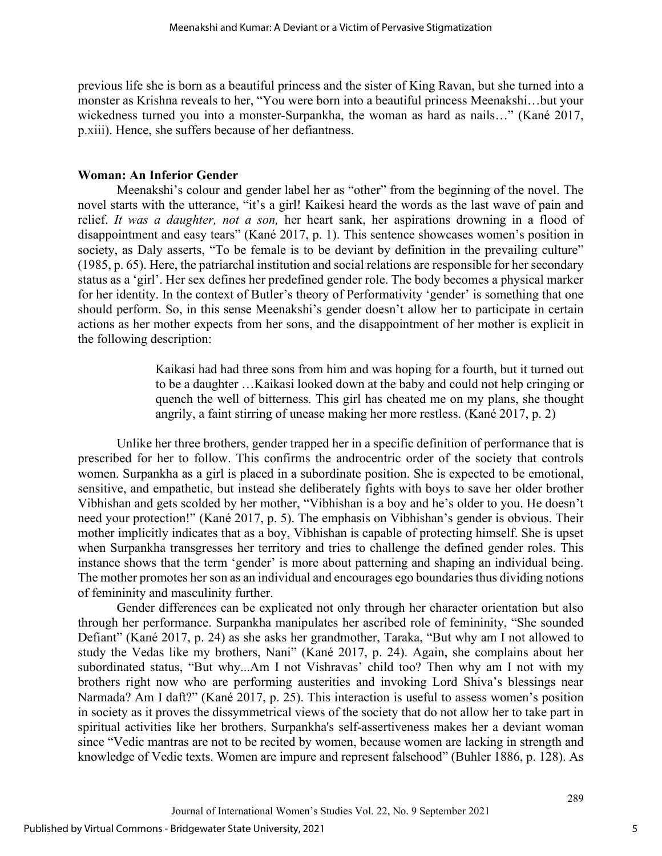previous life she is born as a beautiful princess and the sister of King Ravan, but she turned into a monster as Krishna reveals to her, "You were born into a beautiful princess Meenakshi…but your wickedness turned you into a monster-Surpankha, the woman as hard as nails…" (Kané 2017, p.xiii). Hence, she suffers because of her defiantness.

#### **Woman: An Inferior Gender**

Meenakshi's colour and gender label her as "other" from the beginning of the novel. The novel starts with the utterance, "it's a girl! Kaikesi heard the words as the last wave of pain and relief. *It was a daughter, not a son,* her heart sank, her aspirations drowning in a flood of disappointment and easy tears" (Kané 2017, p. 1). This sentence showcases women's position in society, as Daly asserts, "To be female is to be deviant by definition in the prevailing culture" (1985, p. 65). Here, the patriarchal institution and social relations are responsible for her secondary status as a 'girl'. Her sex defines her predefined gender role. The body becomes a physical marker for her identity. In the context of Butler's theory of Performativity 'gender' is something that one should perform. So, in this sense Meenakshi's gender doesn't allow her to participate in certain actions as her mother expects from her sons, and the disappointment of her mother is explicit in the following description:

> Kaikasi had had three sons from him and was hoping for a fourth, but it turned out to be a daughter …Kaikasi looked down at the baby and could not help cringing or quench the well of bitterness. This girl has cheated me on my plans, she thought angrily, a faint stirring of unease making her more restless. (Kané 2017, p. 2)

Unlike her three brothers, gender trapped her in a specific definition of performance that is prescribed for her to follow. This confirms the androcentric order of the society that controls women. Surpankha as a girl is placed in a subordinate position. She is expected to be emotional, sensitive, and empathetic, but instead she deliberately fights with boys to save her older brother Vibhishan and gets scolded by her mother, "Vibhishan is a boy and he's older to you. He doesn't need your protection!" (Kané 2017, p. 5). The emphasis on Vibhishan's gender is obvious. Their mother implicitly indicates that as a boy, Vibhishan is capable of protecting himself. She is upset when Surpankha transgresses her territory and tries to challenge the defined gender roles. This instance shows that the term 'gender' is more about patterning and shaping an individual being. The mother promotes her son as an individual and encourages ego boundaries thus dividing notions of femininity and masculinity further.

Gender differences can be explicated not only through her character orientation but also through her performance. Surpankha manipulates her ascribed role of femininity, "She sounded Defiant" (Kané 2017, p. 24) as she asks her grandmother, Taraka, "But why am I not allowed to study the Vedas like my brothers, Nani" (Kané 2017, p. 24). Again, she complains about her subordinated status, "But why...Am I not Vishravas' child too? Then why am I not with my brothers right now who are performing austerities and invoking Lord Shiva's blessings near Narmada? Am I daft?" (Kané 2017, p. 25). This interaction is useful to assess women's position in society as it proves the dissymmetrical views of the society that do not allow her to take part in spiritual activities like her brothers. Surpankha's self-assertiveness makes her a deviant woman since "Vedic mantras are not to be recited by women, because women are lacking in strength and knowledge of Vedic texts. Women are impure and represent falsehood" (Buhler 1886, p. 128). As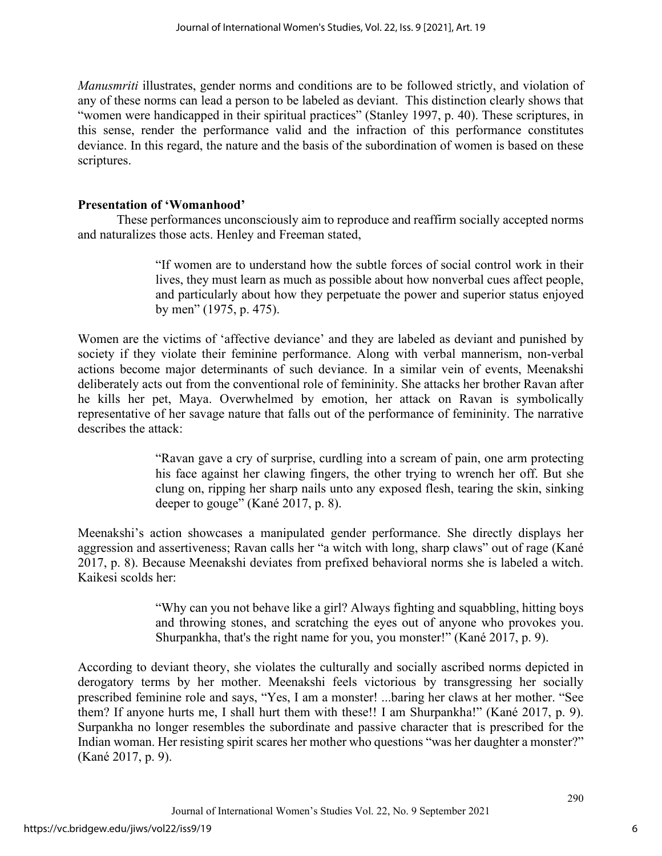*Manusmriti* illustrates, gender norms and conditions are to be followed strictly, and violation of any of these norms can lead a person to be labeled as deviant. This distinction clearly shows that "women were handicapped in their spiritual practices" (Stanley 1997, p. 40). These scriptures, in this sense, render the performance valid and the infraction of this performance constitutes deviance. In this regard, the nature and the basis of the subordination of women is based on these scriptures.

# **Presentation of 'Womanhood'**

These performances unconsciously aim to reproduce and reaffirm socially accepted norms and naturalizes those acts. Henley and Freeman stated,

> "If women are to understand how the subtle forces of social control work in their lives, they must learn as much as possible about how nonverbal cues affect people, and particularly about how they perpetuate the power and superior status enjoyed by men" (1975, p. 475).

Women are the victims of 'affective deviance' and they are labeled as deviant and punished by society if they violate their feminine performance. Along with verbal mannerism, non-verbal actions become major determinants of such deviance. In a similar vein of events, Meenakshi deliberately acts out from the conventional role of femininity. She attacks her brother Ravan after he kills her pet, Maya. Overwhelmed by emotion, her attack on Ravan is symbolically representative of her savage nature that falls out of the performance of femininity. The narrative describes the attack:

> "Ravan gave a cry of surprise, curdling into a scream of pain, one arm protecting his face against her clawing fingers, the other trying to wrench her off. But she clung on, ripping her sharp nails unto any exposed flesh, tearing the skin, sinking deeper to gouge" (Kané 2017, p. 8).

Meenakshi's action showcases a manipulated gender performance. She directly displays her aggression and assertiveness; Ravan calls her "a witch with long, sharp claws" out of rage (Kané 2017, p. 8). Because Meenakshi deviates from prefixed behavioral norms she is labeled a witch. Kaikesi scolds her:

> "Why can you not behave like a girl? Always fighting and squabbling, hitting boys and throwing stones, and scratching the eyes out of anyone who provokes you. Shurpankha, that's the right name for you, you monster!" (Kané 2017, p. 9).

According to deviant theory, she violates the culturally and socially ascribed norms depicted in derogatory terms by her mother. Meenakshi feels victorious by transgressing her socially prescribed feminine role and says, "Yes, I am a monster! ...baring her claws at her mother. "See them? If anyone hurts me, I shall hurt them with these!! I am Shurpankha!" (Kané 2017, p. 9). Surpankha no longer resembles the subordinate and passive character that is prescribed for the Indian woman. Her resisting spirit scares her mother who questions "was her daughter a monster?" (Kané 2017, p. 9).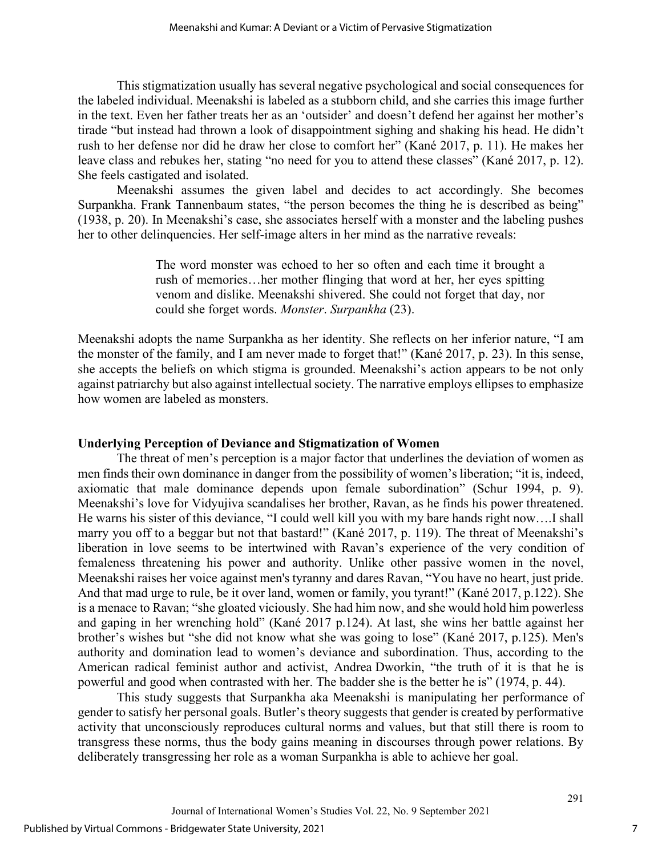This stigmatization usually has several negative psychological and social consequences for the labeled individual. Meenakshi is labeled as a stubborn child, and she carries this image further in the text. Even her father treats her as an 'outsider' and doesn't defend her against her mother's tirade "but instead had thrown a look of disappointment sighing and shaking his head. He didn't rush to her defense nor did he draw her close to comfort her" (Kané 2017, p. 11). He makes her leave class and rebukes her, stating "no need for you to attend these classes" (Kané 2017, p. 12). She feels castigated and isolated.

Meenakshi assumes the given label and decides to act accordingly. She becomes Surpankha. Frank Tannenbaum states, "the person becomes the thing he is described as being" (1938, p. 20). In Meenakshi's case, she associates herself with a monster and the labeling pushes her to other delinquencies. Her self-image alters in her mind as the narrative reveals:

> The word monster was echoed to her so often and each time it brought a rush of memories…her mother flinging that word at her, her eyes spitting venom and dislike. Meenakshi shivered. She could not forget that day, nor could she forget words. *Monster*. *Surpankha* (23).

Meenakshi adopts the name Surpankha as her identity. She reflects on her inferior nature, "I am the monster of the family, and I am never made to forget that!" (Kané 2017, p. 23). In this sense, she accepts the beliefs on which stigma is grounded. Meenakshi's action appears to be not only against patriarchy but also against intellectual society. The narrative employs ellipses to emphasize how women are labeled as monsters.

### **Underlying Perception of Deviance and Stigmatization of Women**

The threat of men's perception is a major factor that underlines the deviation of women as men finds their own dominance in danger from the possibility of women's liberation; "it is, indeed, axiomatic that male dominance depends upon female subordination" (Schur 1994, p. 9). Meenakshi's love for Vidyujiva scandalises her brother, Ravan, as he finds his power threatened. He warns his sister of this deviance, "I could well kill you with my bare hands right now….I shall marry you off to a beggar but not that bastard!" (Kané 2017, p. 119). The threat of Meenakshi's liberation in love seems to be intertwined with Ravan's experience of the very condition of femaleness threatening his power and authority. Unlike other passive women in the novel, Meenakshi raises her voice against men's tyranny and dares Ravan, "You have no heart, just pride. And that mad urge to rule, be it over land, women or family, you tyrant!" (Kané 2017, p.122). She is a menace to Ravan; "she gloated viciously. She had him now, and she would hold him powerless and gaping in her wrenching hold" (Kané 2017 p.124). At last, she wins her battle against her brother's wishes but "she did not know what she was going to lose" (Kané 2017, p.125). Men's authority and domination lead to women's deviance and subordination. Thus, according to the American radical feminist author and activist, Andrea Dworkin, "the truth of it is that he is powerful and good when contrasted with her. The badder she is the better he is" (1974, p. 44).

This study suggests that Surpankha aka Meenakshi is manipulating her performance of gender to satisfy her personal goals. Butler's theory suggests that gender is created by performative activity that unconsciously reproduces cultural norms and values, but that still there is room to transgress these norms, thus the body gains meaning in discourses through power relations. By deliberately transgressing her role as a woman Surpankha is able to achieve her goal.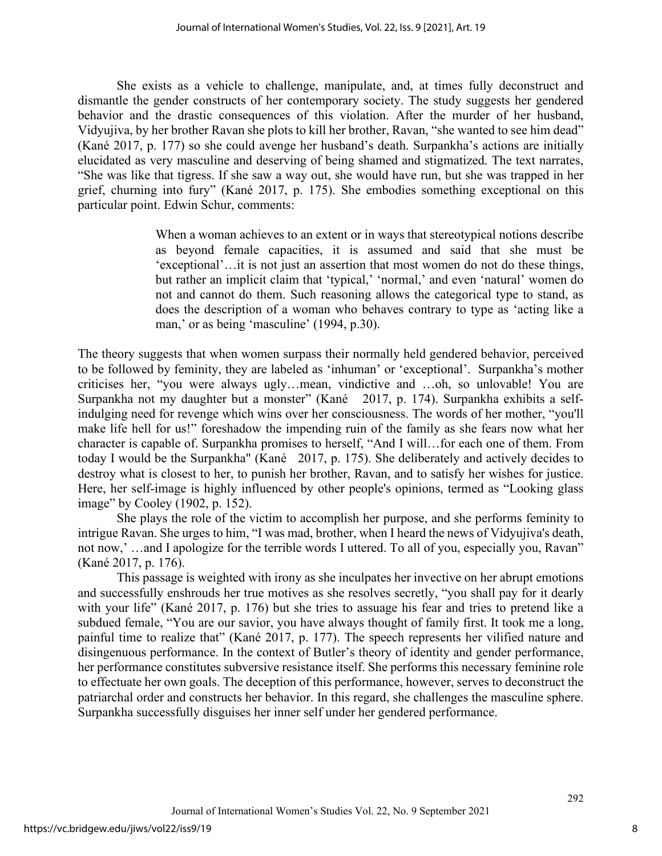She exists as a vehicle to challenge, manipulate, and, at times fully deconstruct and dismantle the gender constructs of her contemporary society. The study suggests her gendered behavior and the drastic consequences of this violation. After the murder of her husband, Vidyujiva, by her brother Ravan she plots to kill her brother, Ravan, "she wanted to see him dead" (Kané 2017, p. 177) so she could avenge her husband's death. Surpankha's actions are initially elucidated as very masculine and deserving of being shamed and stigmatized. The text narrates, "She was like that tigress. If she saw a way out, she would have run, but she was trapped in her grief, churning into fury" (Kané 2017, p. 175). She embodies something exceptional on this particular point. Edwin Schur, comments:

> When a woman achieves to an extent or in ways that stereotypical notions describe as beyond female capacities, it is assumed and said that she must be 'exceptional'…it is not just an assertion that most women do not do these things, but rather an implicit claim that 'typical,' 'normal,' and even 'natural' women do not and cannot do them. Such reasoning allows the categorical type to stand, as does the description of a woman who behaves contrary to type as 'acting like a man,' or as being 'masculine' (1994, p.30).

The theory suggests that when women surpass their normally held gendered behavior, perceived to be followed by feminity, they are labeled as 'inhuman' or 'exceptional'. Surpankha's mother criticises her, "you were always ugly…mean, vindictive and …oh, so unlovable! You are Surpankha not my daughter but a monster" (Kané 2017, p. 174). Surpankha exhibits a selfindulging need for revenge which wins over her consciousness. The words of her mother, "you'll make life hell for us!" foreshadow the impending ruin of the family as she fears now what her character is capable of. Surpankha promises to herself, "And I will…for each one of them. From today I would be the Surpankha" (Kané 2017, p. 175). She deliberately and actively decides to destroy what is closest to her, to punish her brother, Ravan, and to satisfy her wishes for justice. Here, her self-image is highly influenced by other people's opinions, termed as "Looking glass image" by Cooley (1902, p. 152).

She plays the role of the victim to accomplish her purpose, and she performs feminity to intrigue Ravan. She urges to him, "I was mad, brother, when I heard the news of Vidyujiva's death, not now,' …and I apologize for the terrible words I uttered. To all of you, especially you, Ravan" (Kané 2017, p. 176).

This passage is weighted with irony as she inculpates her invective on her abrupt emotions and successfully enshrouds her true motives as she resolves secretly, "you shall pay for it dearly with your life" (Kané 2017, p. 176) but she tries to assuage his fear and tries to pretend like a subdued female, "You are our savior, you have always thought of family first. It took me a long, painful time to realize that" (Kané 2017, p. 177). The speech represents her vilified nature and disingenuous performance. In the context of Butler's theory of identity and gender performance, her performance constitutes subversive resistance itself. She performs this necessary feminine role to effectuate her own goals. The deception of this performance, however, serves to deconstruct the patriarchal order and constructs her behavior. In this regard, she challenges the masculine sphere. Surpankha successfully disguises her inner self under her gendered performance.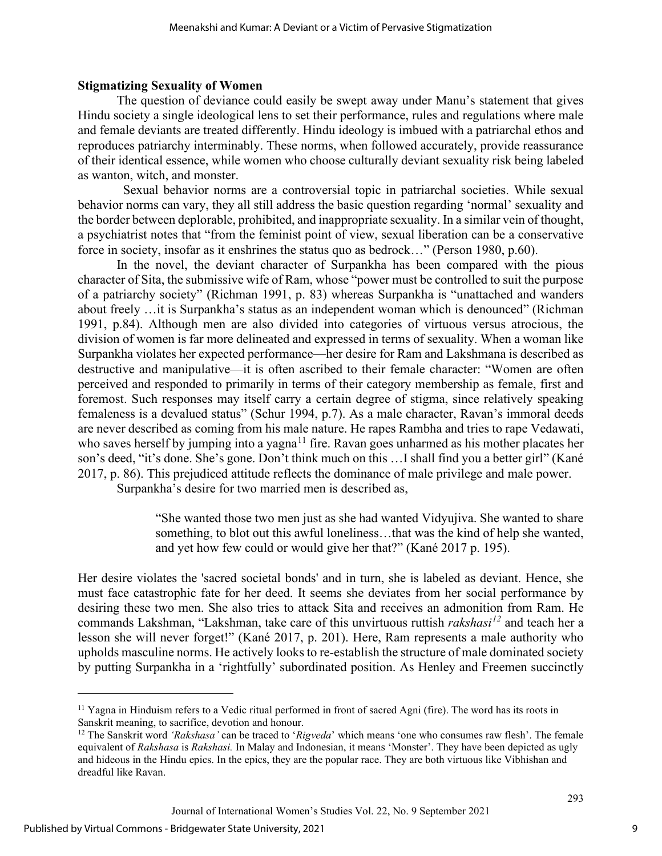#### **Stigmatizing Sexuality of Women**

The question of deviance could easily be swept away under Manu's statement that gives Hindu society a single ideological lens to set their performance, rules and regulations where male and female deviants are treated differently. Hindu ideology is imbued with a patriarchal ethos and reproduces patriarchy interminably. These norms, when followed accurately, provide reassurance of their identical essence, while women who choose culturally deviant sexuality risk being labeled as wanton, witch, and monster.

 Sexual behavior norms are a controversial topic in patriarchal societies. While sexual behavior norms can vary, they all still address the basic question regarding 'normal' sexuality and the border between deplorable, prohibited, and inappropriate sexuality. In a similar vein of thought, a psychiatrist notes that "from the feminist point of view, sexual liberation can be a conservative force in society, insofar as it enshrines the status quo as bedrock…" (Person 1980, p.60).

In the novel, the deviant character of Surpankha has been compared with the pious character of Sita, the submissive wife of Ram, whose "power must be controlled to suit the purpose of a patriarchy society" (Richman 1991, p. 83) whereas Surpankha is "unattached and wanders about freely …it is Surpankha's status as an independent woman which is denounced" (Richman 1991, p.84). Although men are also divided into categories of virtuous versus atrocious, the division of women is far more delineated and expressed in terms of sexuality. When a woman like Surpankha violates her expected performance—her desire for Ram and Lakshmana is described as destructive and manipulative—it is often ascribed to their female character: "Women are often perceived and responded to primarily in terms of their category membership as female, first and foremost. Such responses may itself carry a certain degree of stigma, since relatively speaking femaleness is a devalued status" (Schur 1994, p.7). As a male character, Ravan's immoral deeds are never described as coming from his male nature. He rapes Rambha and tries to rape Vedawati, who saves herself by jumping into a yagna<sup>[11](#page-9-0)</sup> fire. Ravan goes unharmed as his mother placates her son's deed, "it's done. She's gone. Don't think much on this …I shall find you a better girl" (Kané 2017, p. 86). This prejudiced attitude reflects the dominance of male privilege and male power.

Surpankha's desire for two married men is described as,

"She wanted those two men just as she had wanted Vidyujiva. She wanted to share something, to blot out this awful loneliness…that was the kind of help she wanted, and yet how few could or would give her that?" (Kané 2017 p. 195).

Her desire violates the 'sacred societal bonds' and in turn, she is labeled as deviant. Hence, she must face catastrophic fate for her deed. It seems she deviates from her social performance by desiring these two men. She also tries to attack Sita and receives an admonition from Ram. He commands Lakshman, "Lakshman, take care of this unvirtuous ruttish *rakshasi[12](#page-9-1)* and teach her a lesson she will never forget!" (Kané 2017, p. 201). Here, Ram represents a male authority who upholds masculine norms. He actively looks to re-establish the structure of male dominated society by putting Surpankha in a 'rightfully' subordinated position. As Henley and Freemen succinctly

<span id="page-9-0"></span><sup>&</sup>lt;sup>11</sup> Yagna in Hinduism refers to a Vedic ritual performed in front of sacred Agni (fire). The word has its roots in Sanskrit meaning, to sacrifice, devotion and honour.<br><sup>12</sup> The Sanskrit word *'Rakshasa'* can be traced to *'Rigveda'* which means 'one who consumes raw flesh'. The female

<span id="page-9-1"></span>equivalent of *Rakshasa* is *Rakshasi.* In Malay and Indonesian, it means 'Monster'. They have been depicted as ugly and hideous in the Hindu epics. In the epics, they are the popular race. They are both virtuous like Vibhishan and dreadful like Ravan.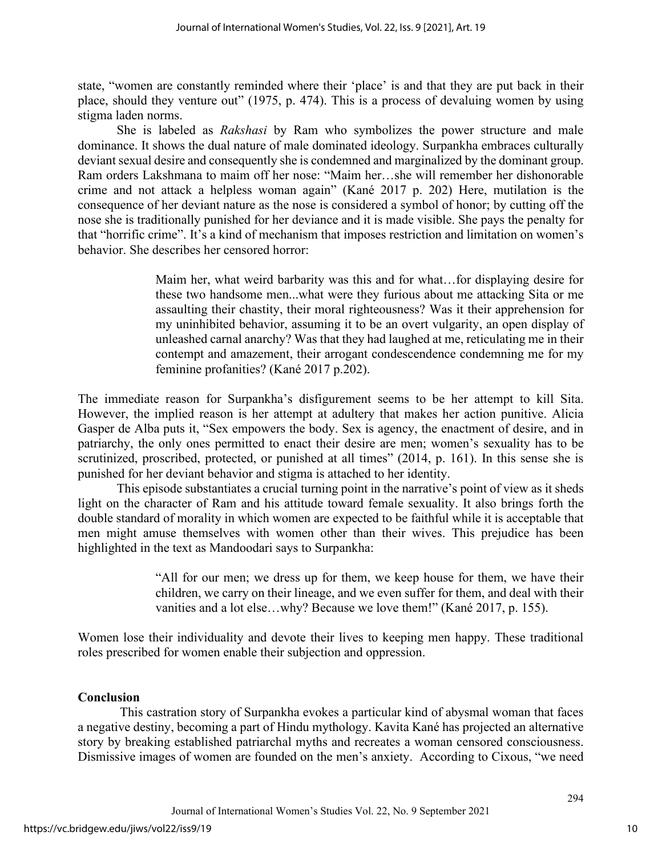state, "women are constantly reminded where their 'place' is and that they are put back in their place, should they venture out" (1975, p. 474). This is a process of devaluing women by using stigma laden norms.

She is labeled as *Rakshasi* by Ram who symbolizes the power structure and male dominance. It shows the dual nature of male dominated ideology. Surpankha embraces culturally deviant sexual desire and consequently she is condemned and marginalized by the dominant group. Ram orders Lakshmana to maim off her nose: "Maim her…she will remember her dishonorable crime and not attack a helpless woman again" (Kané 2017 p. 202) Here, mutilation is the consequence of her deviant nature as the nose is considered a symbol of honor; by cutting off the nose she is traditionally punished for her deviance and it is made visible. She pays the penalty for that "horrific crime". It's a kind of mechanism that imposes restriction and limitation on women's behavior. She describes her censored horror:

> Maim her, what weird barbarity was this and for what…for displaying desire for these two handsome men...what were they furious about me attacking Sita or me assaulting their chastity, their moral righteousness? Was it their apprehension for my uninhibited behavior, assuming it to be an overt vulgarity, an open display of unleashed carnal anarchy? Was that they had laughed at me, reticulating me in their contempt and amazement, their arrogant condescendence condemning me for my feminine profanities? (Kané 2017 p.202).

The immediate reason for Surpankha's disfigurement seems to be her attempt to kill Sita. However, the implied reason is her attempt at adultery that makes her action punitive. Alicia Gasper de Alba puts it, "Sex empowers the body. Sex is agency, the enactment of desire, and in patriarchy, the only ones permitted to enact their desire are men; women's sexuality has to be scrutinized, proscribed, protected, or punished at all times" (2014, p. 161). In this sense she is punished for her deviant behavior and stigma is attached to her identity.

This episode substantiates a crucial turning point in the narrative's point of view as it sheds light on the character of Ram and his attitude toward female sexuality. It also brings forth the double standard of morality in which women are expected to be faithful while it is acceptable that men might amuse themselves with women other than their wives. This prejudice has been highlighted in the text as Mandoodari says to Surpankha:

> "All for our men; we dress up for them, we keep house for them, we have their children, we carry on their lineage, and we even suffer for them, and deal with their vanities and a lot else…why? Because we love them!" (Kané 2017, p. 155).

Women lose their individuality and devote their lives to keeping men happy. These traditional roles prescribed for women enable their subjection and oppression.

# **Conclusion**

This castration story of Surpankha evokes a particular kind of abysmal woman that faces a negative destiny, becoming a part of Hindu mythology. Kavita Kané has projected an alternative story by breaking established patriarchal myths and recreates a woman censored consciousness. Dismissive images of women are founded on the men's anxiety. According to Cixous, "we need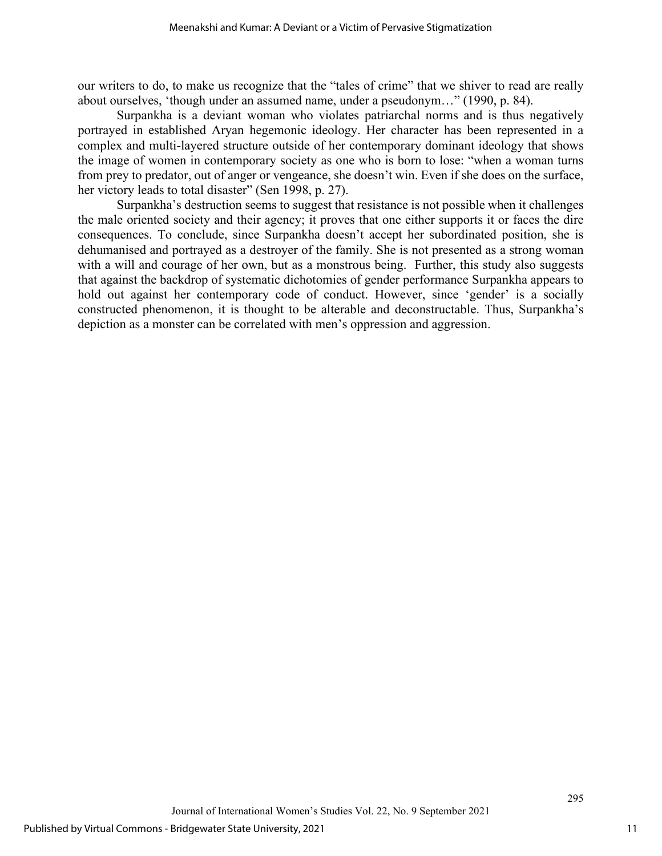our writers to do, to make us recognize that the "tales of crime" that we shiver to read are really about ourselves, 'though under an assumed name, under a pseudonym…" (1990, p. 84).

Surpankha is a deviant woman who violates patriarchal norms and is thus negatively portrayed in established Aryan hegemonic ideology. Her character has been represented in a complex and multi-layered structure outside of her contemporary dominant ideology that shows the image of women in contemporary society as one who is born to lose: "when a woman turns from prey to predator, out of anger or vengeance, she doesn't win. Even if she does on the surface, her victory leads to total disaster" (Sen 1998, p. 27).

Surpankha's destruction seems to suggest that resistance is not possible when it challenges the male oriented society and their agency; it proves that one either supports it or faces the dire consequences. To conclude, since Surpankha doesn't accept her subordinated position, she is dehumanised and portrayed as a destroyer of the family. She is not presented as a strong woman with a will and courage of her own, but as a monstrous being. Further, this study also suggests that against the backdrop of systematic dichotomies of gender performance Surpankha appears to hold out against her contemporary code of conduct. However, since 'gender' is a socially constructed phenomenon, it is thought to be alterable and deconstructable. Thus, Surpankha's depiction as a monster can be correlated with men's oppression and aggression.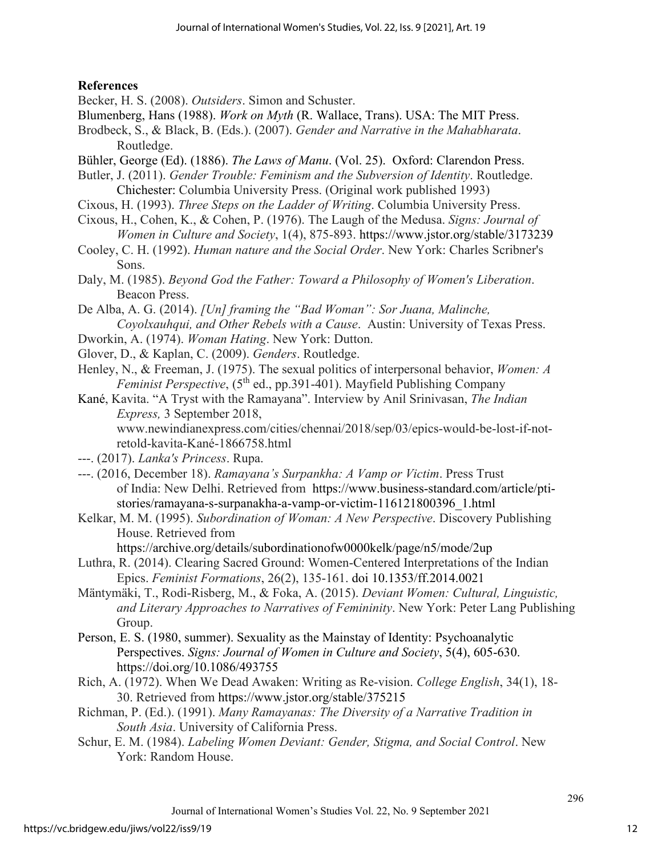# **References**

Becker, H. S. (2008). *Outsiders*. Simon and Schuster.

- Blumenberg, Hans (1988). *Work on Myth* (R. Wallace, Trans). USA: The MIT Press.
- Brodbeck, S., & Black, B. (Eds.). (2007). *Gender and Narrative in the Mahabharata*. Routledge.
- Bühler, George (Ed). (1886). *The Laws of Manu*. (Vol. 25). Oxford: Clarendon Press.
- Butler, J. (2011). *Gender Trouble: Feminism and the Subversion of Identity*. Routledge. Chichester: Columbia University Press. (Original work published 1993)
- Cixous, H. (1993). *Three Steps on the Ladder of Writing*. Columbia University Press.
- Cixous, H., Cohen, K., & Cohen, P. (1976). The Laugh of the Medusa. *Signs: Journal of Women in Culture and Society*, 1(4), 875-893.<https://www.jstor.org/stable/3173239>
- Cooley, C. H. (1992). *Human nature and the Social Order*. New York: Charles Scribner's Sons.
- Daly, M. (1985). *Beyond God the Father: Toward a Philosophy of Women's Liberation*. Beacon Press.
- De Alba, A. G. (2014). *[Un] framing the "Bad Woman": Sor Juana, Malinche, Coyolxauhqui, and Other Rebels with a Cause*. Austin: University of Texas Press.
- Dworkin, A. (1974). *Woman Hating*. New York: Dutton.
- Glover, D., & Kaplan, C. (2009). *Genders*. Routledge.
- Henley, N., & Freeman, J. (1975). The sexual politics of interpersonal behavior, *Women: A Feminist Perspective*, (5<sup>th</sup> ed., pp.391-401). Mayfield Publishing Company
- Kané, Kavita. "A Tryst with the Ramayana". Interview by Anil Srinivasan, *The Indian Express,* 3 September 2018,

www.newindianexpress.com/cities/chennai/2018/sep/03/epics-would-be-lost-if-notretold-kavita-Kané-1866758.html

- ---. (2017). *Lanka's Princess*. Rupa.
- ---. (2016, December 18). *Ramayana's Surpankha: A Vamp or Victim*. Press Trust of India: New Delhi. Retrieved from [https://www.business-standard.com/article/pti](https://www.business-standard.com/article/pti-stories/ramayana-s-surpanakha-a-vamp-or-victim-116121800396_1.html)[stories/ramayana-s-surpanakha-a-vamp-or-victim-116121800396\\_1.html](https://www.business-standard.com/article/pti-stories/ramayana-s-surpanakha-a-vamp-or-victim-116121800396_1.html)
- Kelkar, M. M. (1995). *Subordination of Woman: A New Perspective*. Discovery Publishing House. Retrieved from

<https://archive.org/details/subordinationofw0000kelk/page/n5/mode/2up>

- Luthra, R. (2014). Clearing Sacred Ground: Women-Centered Interpretations of the Indian Epics. *Feminist Formations*, 26(2), 135-161. doi [10.1353/ff.2014.0021](https://www.researchgate.net/deref/http%3A%2F%2Fdx.doi.org%2F10.1353%2Fff.2014.0021?_sg%5B0%5D=V13Q7Dov8Bl4w5iJXp0DQf5T_uOhtcHyBGJ68sshPIThl_C_WztHUENHNbUx4pn1a4ou1_8H5DN0EVPBF-HpEXt9PQ.yPeoGiVA0CWh0aPTJlambk7q4TqKdkkSw5IC_3tAFva_RPR2S8yj3k0pTWyyIbklPAcG1hh8MkiJ5Lv4jCqJyA)
- Mäntymäki, T., Rodi-Risberg, M., & Foka, A. (2015). *Deviant Women: Cultural, Linguistic, and Literary Approaches to Narratives of Femininity*. New York: Peter Lang Publishing Group.
- Person, E. S. (1980, summer). Sexuality as the Mainstay of Identity: Psychoanalytic Perspectives. *Signs: Journal of Women in Culture and Society*, 5(4), 605-630. <https://doi.org/10.1086/493755>
- Rich, A. (1972). When We Dead Awaken: Writing as Re-vision. *College English*, 34(1), 18- 30. Retrieved from<https://www.jstor.org/stable/375215>
- Richman, P. (Ed.). (1991). *Many Ramayanas: The Diversity of a Narrative Tradition in South Asia*. University of California Press.
- Schur, E. M. (1984). *Labeling Women Deviant: Gender, Stigma, and Social Control*. New York: Random House.